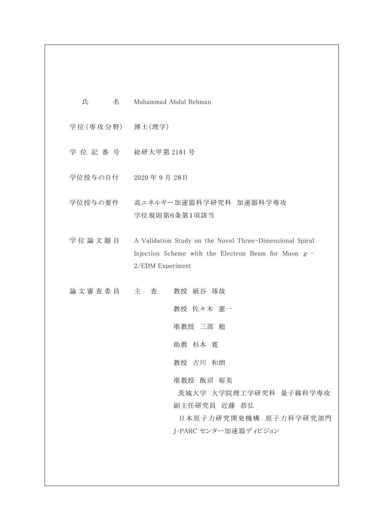- 氏 名 Muhammad Abdul Rehman
- 学位 (専攻分野) 博士 (理学)
- 学 位 記 番 号 総研大甲第 2181 号
- 学位授与の日付 2020 年 9 月 28日
- 学位授与の要件 高エネルギー加速器科学研究科 加速器科学専攻 学位規則第6条第1項該当
- 学位論文題目 A Validation Study on the Novel Three-Dimensional Spiral Injection Scheme with the Electron Beam for Muon  $g$  -2/EDM Experiment
- 論文審査委員 主 査 教授 紙谷 琢哉

教授 佐々木 憲一

准教授 三部 勉

助教 杉本 寛

教授 古川 和朗

准教授 飯沼 裕美

茨城大学 大学院理工学研究科 量子線科学専攻 副主任研究員 近藤 恭弘

日本原子力研究開発機構 原子力科学研究部門 J-PARC センター加速器ディビジョン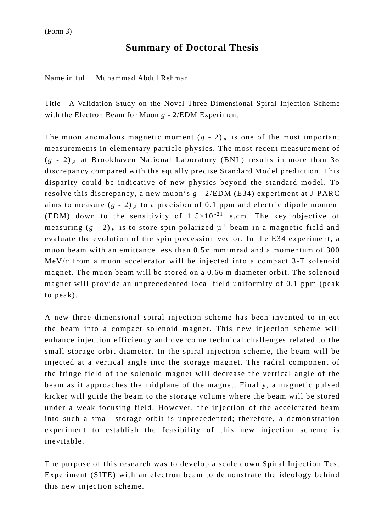## **Summary of Doctoral Thesis**

Name in full Muhammad Abdul Rehman

Title A Validation Study on the Novel Three-Dimensional Spiral Injection Scheme with the Electron Beam for Muon *g* - 2/EDM Experiment

The muon anomalous magnetic moment  $(g - 2)$ <sup> $\mu$ </sup> is one of the most important measurements in elementary particle physics. The most recent measurement of (*g -* 2) *<sup>µ</sup>* at Brookhaven National Laboratory (BNL) results in more than 3σ discrepancy compared with the equally precise Standard Model prediction. This disparity could be indicative of new physics beyond the standard model. To resolve this discrepancy, a new muon's *g* - 2/EDM (E34) experiment at J-PARC aims to measure  $(g - 2)$ <sub>*µ*</sub> to a precision of 0.1 ppm and electric dipole moment (EDM) down to the sensitivity of  $1.5 \times 10^{-21}$  e.cm. The key objective of measuring  $(g - 2)$  *µ* is to store spin polarized  $\mu^+$  beam in a magnetic field and evaluate the evolution of the spin precession vector. In the E34 experiment, a muon beam with an emittance less than  $0.5\pi$  mm·mrad and a momentum of 300 MeV/*c* from a muon accelerator will be injected into a compact 3-T solenoid magnet. The muon beam will be stored on a 0.66 m diameter orbit. The solenoid magnet will provide an unprecedented local field uniformity of 0.1 ppm (peak to peak).

A new three-dimensional spiral injection scheme has been invented to inject the beam into a compact solenoid magnet. This new injection scheme will enhance injection efficiency and overcome technical challenges related to the small storage orbit diameter. In the spiral injection scheme, the beam will be injected at a vertical angle into the storage magnet. The radial component of the fringe field of the solenoid magnet will decrease the vertical angle of the beam as it approaches the midplane of the magnet. Finally, a magnetic pulsed kicker will guide the beam to the storage volume where the beam will be stored under a weak focusing field. However, the injection of the accelerated beam into such a small storage orbit is unprecedented; therefore, a demonstration experiment to establish the feasibility of this new injection scheme is inevitable.

The purpose of this research was to develop a scale down Spiral Injection Test Experiment (SITE) with an electron beam to demonstrate the ideology behind this new injection scheme.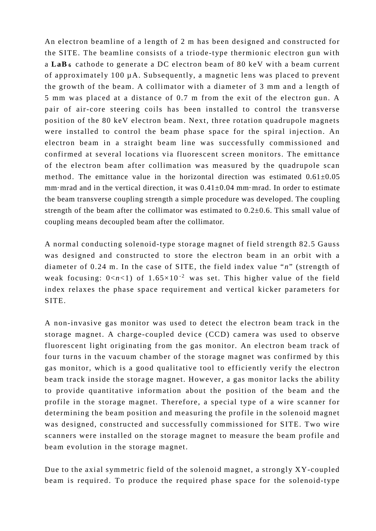An electron beamline of a length of 2 m has been designed and constructed for the SITE. The beamline consists of a triode-type thermionic electron gun with a **LaB <sup>6</sup>** cathode to generate a DC electron beam of 80 keV with a beam current of approximately 100 µA. Subsequently, a magnetic lens was placed to prevent the growth of the beam. A collimator with a diameter of 3 mm and a length of 5 mm was placed at a distance of 0.7 m from the exit of the electron gun. A pair of air-core steering coils has been installed to control the transverse position of the 80 keV electron beam. Next, three rotation quadrupole magnets were installed to control the beam phase space for the spiral injection. An electron beam in a straight beam line was successfully commissioned and confirmed at several locations via fluorescent screen monitors. The emittance of the electron beam after collimation was measured by the quadrupole scan method. The emittance value in the horizontal direction was estimated  $0.61\pm0.05$ mm·mrad and in the vertical direction, it was  $0.41 \pm 0.04$  mm·mrad. In order to estimate the beam transverse coupling strength a simple procedure was developed. The coupling strength of the beam after the collimator was estimated to  $0.2\pm0.6$ . This small value of coupling means decoupled beam after the collimator.

A normal conducting solenoid-type storage magnet of field strength 82.5 Gauss was designed and constructed to store the electron beam in an orbit with a diameter of 0.24 m. In the case of SITE, the field index value "*n*" (strength of weak focusing:  $0 < n < 1$ ) of  $1.65 \times 10^{-2}$  was set. This higher value of the field index relaxes the phase space requirement and vertical kicker parameters for SITE.

A non-invasive gas monitor was used to detect the electron beam track in the storage magnet. A charge-coupled device (CCD) camera was used to observe fluorescent light originating from the gas monitor. An electron beam track of four turns in the vacuum chamber of the storage magnet was confirmed by this gas monitor, which is a good qualitative tool to efficiently verify the electron beam track inside the storage magnet. However, a gas monitor lacks the ability to provide quantitative information about the position of the beam and the profile in the storage magnet. Therefore, a special type of a wire scanner for determining the beam position and measuring the profile in the solenoid magnet was designed, constructed and successfully commissioned for SITE. Two wire scanners were installed on the storage magnet to measure the beam profile and beam evolution in the storage magnet.

Due to the axial symmetric field of the solenoid magnet, a strongly XY-coupled beam is required. To produce the required phase space for the solenoid-type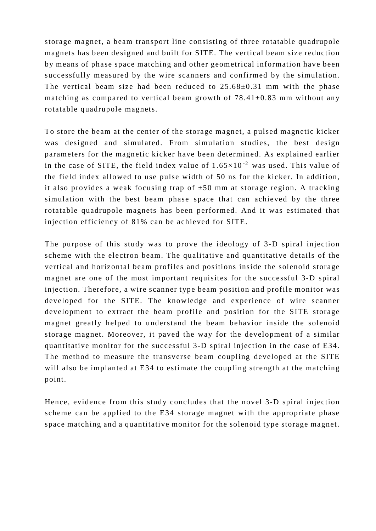storage magnet, a beam transport line consisting of three rotatable quadrupole magnets has been designed and built for SITE. The vertical beam size reduction by means of phase space matching and other geometrical information have been successfully measured by the wire scanners and confirmed by the simulation. The vertical beam size had been reduced to  $25.68\pm0.31$  mm with the phase matching as compared to vertical beam growth of  $78.41\pm0.83$  mm without any rotatable quadrupole magnets.

To store the beam at the center of the storage magnet, a pulsed magnetic kicker was designed and simulated. From simulation studies, the best design parameters for the magnetic kicker have been determined. As explained earlier in the case of SITE, the field index value of  $1.65 \times 10^{-2}$  was used. This value of the field index allowed to use pulse width of 50 ns for the kicker. In addition, it also provides a weak focusing trap of  $\pm 50$  mm at storage region. A tracking simulation with the best beam phase space that can achieved by the three rotatable quadrupole magnets has been performed. And it was estimated that injection efficiency of 81% can be achieved for SITE.

The purpose of this study was to prove the ideology of 3-D spiral injection scheme with the electron beam. The qualitative and quantitative details of the vertical and horizontal beam profiles and positions inside the solenoid storage magnet are one of the most important requisites for the successful 3-D spiral injection. Therefore, a wire scanner type beam position and profile monitor was developed for the SITE. The knowledge and experience of wire scanner development to extract the beam profile and position for the SITE storage magnet greatly helped to understand the beam behavior inside the solenoid storage magnet. Moreover, it paved the way for the development of a similar quantitative monitor for the successful 3-D spiral injection in the case of E34. The method to measure the transverse beam coupling developed at the SITE will also be implanted at E34 to estimate the coupling strength at the matching point.

Hence, evidence from this study concludes that the novel 3-D spiral injection scheme can be applied to the E34 storage magnet with the appropriate phase space matching and a quantitative monitor for the solenoid type storage magnet.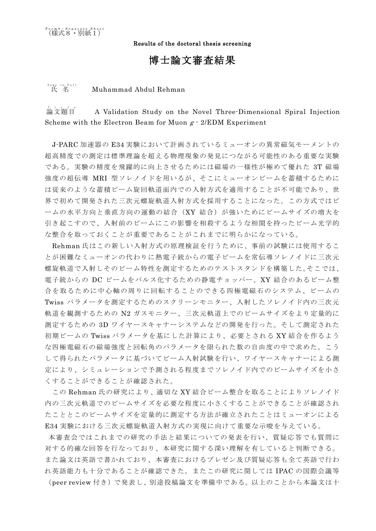Results of the doctoral thesis screening

## 博士論文審査結果

## 氏 名 *<sup>E</sup>* Name in Full *<sup>A</sup>* Muhammad Abdul Rehman

 $A$   $A$   $\rightarrow$   $A$   $B$ <sup> $\rightarrow$ </sup>  $B$ <sup> $\rightarrow$ </sup> *<sup>A</sup>* A Validation Study on the Novel Three-Dimensional Spiral Injection Scheme with the Electron Beam for Muon  $g \cdot 2/\text{EDM}$  Experiment

J-PARC 加速器の E34 実験において計画されているミューオンの異常磁気モーメントの 超高精度での測定は標準理論を超える物理現象の発見につながる可能性のある重要な実験 である。実験の精度を飛躍的に向上させるためには磁場の一様性が極めて優れた 3T 磁場 強度の超伝導 MRI 型ソレノイドを用いるが、そこにミューオンビームを蓄積するために は従来のような蓄積ビーム旋回軌道面内での入射方式を適用することが不可能であり、世 界で初めて開発された三次元螺旋軌道入射方式を採用することになった。この方式ではビ ームの水平方向と垂直方向の運動の結合(XY 結合)が強いためにビームサイズの増大を 引き起こすので、入射前のビームにこの影響を相殺するような相関を持ったビーム光学的 な整合を取っておくことが重要であることがこれまでに明らかになっている。

Rehman 氏はこの新しい入射方式の原理検証を行うために、事前の試験には使用するこ とが困難なミューオンの代わりに熱電子銃からの電子ビームを常伝導ソレノイドに三次元 螺旋軌道で入射しそのビーム特性を測定するためのテストスタンドを構築した。そこでは、 電子銃からの DC ビームをパルス化するための静電チョッパー、XY 結合のあるビーム整 合を取るために中心軸の周りに回転することのできる四極電磁石のシステム、ビームの Twiss パラメータを測定するためのスクリーンモニター、入射したソレノイド内の三次元 軌道を観測するための N2 ガスモニター、三次元軌道上でのビームサイズをより定量的に 測定するための 3D ワイヤースキャナーシステムなどの開発を行った。そして測定された 初期ビームの Twiss パラメータを基にした計算により、必要とされる XY 結合を作るよう な四極電磁石の磁場強度と回転角のパラメータを限られた数の自由度の中で求めた。こう して得られたパラメータに基づいてビーム入射試験を行い、ワイヤースキャナーによる測 定により、シミュレーションで予測される程度までソレノイド内でのビームサイズを小さ くすることができることが確認された。

この Rehman 氏の研究により、適切な XY 結合ビーム整合を取ることによりソレノイド 内の三次元軌道でのビームサイズを必要な程度に小さくすることができることが確認され たこととこのビームサイズを定量的に測定する方法が確立されたことはミューオンによる E34 実験における三次元螺旋軌道入射方式の実現に向けて重要な示唆を与えている。

本審査会ではこれまでの研究の手法と結果についての発表を行い、質疑応答でも質問に 対する的確な回答を行なっており、本研究に関する深い理解を有していると判断できる。 また論文は英語で書かれており、本審査におけるプレゼン及び質疑応答も全て英語で行わ れ英語能力も十分であることが確認できた。またこの研究に関しては IPAC の国際会議等

(peer review 付き)で発表し、別途投稿論文を準備中である。以上のことから本論文は十